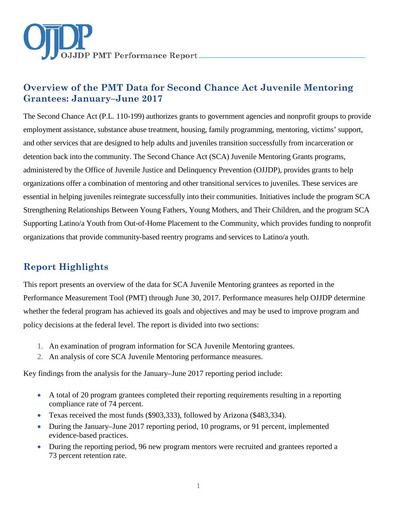

# **Overview of the PMT Data for Second Chance Act Juvenile Mentoring Grantees: January–June 2017**

The Second Chance Act (P.L. 110-199) authorizes grants to government agencies and nonprofit groups to provide employment assistance, substance abuse treatment, housing, family programming, mentoring, victims' support, and other services that are designed to help adults and juveniles transition successfully from incarceration or detention back into the community. The Second Chance Act (SCA) Juvenile Mentoring Grants programs, administered by the Office of Juvenile Justice and Delinquency Prevention (OJJDP), provides grants to help organizations offer a combination of mentoring and other transitional services to juveniles. These services are essential in helping juveniles reintegrate successfully into their communities. Initiatives include the program SCA Strengthening Relationships Between Young Fathers, Young Mothers, and Their Children, and the program SCA Supporting Latino/a Youth from Out-of-Home Placement to the Community, which provides funding to nonprofit organizations that provide community-based reentry programs and services to Latino/a youth.

# **Report Highlights**

This report presents an overview of the data for SCA Juvenile Mentoring grantees as reported in the Performance Measurement Tool (PMT) through June 30, 2017. Performance measures help OJJDP determine whether the federal program has achieved its goals and objectives and may be used to improve program and policy decisions at the federal level. The report is divided into two sections:

- 1. An examination of program information for SCA Juvenile Mentoring grantees.
- 2. An analysis of core SCA Juvenile Mentoring performance measures.

Key findings from the analysis for the January–June 2017 reporting period include:

- A total of 20 program grantees completed their reporting requirements resulting in a reporting compliance rate of 74 percent.
- Texas received the most funds (\$903,333), followed by Arizona (\$483,334).
- During the January–June 2017 reporting period, 10 programs, or 91 percent, implemented evidence-based practices.
- During the reporting period, 96 new program mentors were recruited and grantees reported a 73 percent retention rate.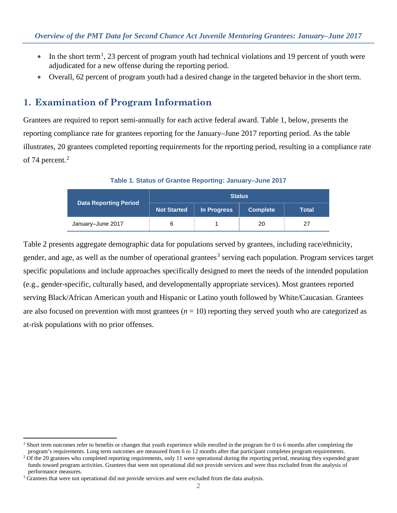- In the short term<sup>[1](#page-1-0)</sup>, 23 percent of program youth had technical violations and 19 percent of youth were adjudicated for a new offense during the reporting period.
- Overall, 62 percent of program youth had a desired change in the targeted behavior in the short term.

# **1. Examination of Program Information**

Grantees are required to report semi-annually for each active federal award. Table 1, below, presents the reporting compliance rate for grantees reporting for the January–June 2017 reporting period. As the table illustrates, 20 grantees completed reporting requirements for the reporting period, resulting in a compliance rate of 74 percent.<sup>[2](#page-1-1)</sup>

**Table 1. Status of Grantee Reporting: January–June 2017**

| Data Reporting Period | <b>Status</b>      |             |                 |       |  |
|-----------------------|--------------------|-------------|-----------------|-------|--|
|                       | <b>Not Started</b> | In Progress | <b>Complete</b> | Total |  |
| January-June 2017     |                    |             | 20              | 27    |  |

Table 2 presents aggregate demographic data for populations served by grantees, including race/ethnicity, gender, and age, as well as the number of operational grantees<sup>[3](#page-1-2)</sup> serving each population. Program services target specific populations and include approaches specifically designed to meet the needs of the intended population (e.g., gender-specific, culturally based, and developmentally appropriate services). Most grantees reported serving Black/African American youth and Hispanic or Latino youth followed by White/Caucasian. Grantees are also focused on prevention with most grantees  $(n = 10)$  reporting they served youth who are categorized as at-risk populations with no prior offenses.

 $\overline{a}$ 

<span id="page-1-0"></span><sup>&</sup>lt;sup>1</sup> Short term outcomes refer to benefits or changes that youth experience while enrolled in the program for 0 to 6 months after completing the program's requirements. Long term outcomes are measured from 6 to 12 months after that participant completes program requirements.

<span id="page-1-1"></span> $2$  Of the 20 grantees who completed reporting requirements, only 11 were operational during the reporting period, meaning they expended grant funds toward program activities. Grantees that were not operational did not provide services and were thus excluded from the analysis of performance measures.

<span id="page-1-2"></span><sup>&</sup>lt;sup>3</sup> Grantees that were not operational did not provide services and were excluded from the data analysis.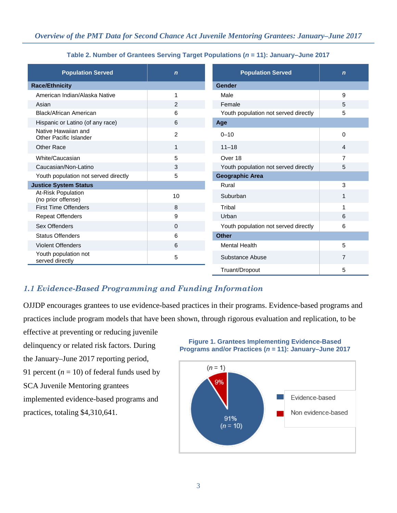|  | Table 2. Number of Grantees Serving Target Populations ( $n = 11$ ): January-June 2017 |  |
|--|----------------------------------------------------------------------------------------|--|
|--|----------------------------------------------------------------------------------------|--|

| <b>Population Served</b>                      | $\mathbf n$    | <b>Population Served</b>             | $\mathbf n$    |
|-----------------------------------------------|----------------|--------------------------------------|----------------|
| <b>Race/Ethnicity</b>                         |                | Gender                               |                |
| American Indian/Alaska Native                 | 1              | Male                                 | 9              |
| Asian                                         | $\overline{2}$ | Female                               | 5              |
| <b>Black/African American</b>                 | 6              | Youth population not served directly | 5              |
| Hispanic or Latino (of any race)              | 6              | Age                                  |                |
| Native Hawaiian and<br>Other Pacific Islander | $\overline{2}$ | $0 - 10$                             | 0              |
| Other Race                                    | 1              | $11 - 18$                            | 4              |
| White/Caucasian                               | 5              | Over 18                              | 7              |
| Caucasian/Non-Latino                          | 3              | Youth population not served directly | 5              |
| Youth population not served directly          | 5              | <b>Geographic Area</b>               |                |
| <b>Justice System Status</b>                  |                | Rural                                | 3              |
| At-Risk Population<br>(no prior offense)      | 10             | Suburban                             | 1              |
| <b>First Time Offenders</b>                   | 8              | Tribal                               |                |
| <b>Repeat Offenders</b>                       | 9              | Urban                                | 6              |
| Sex Offenders                                 | 0              | Youth population not served directly | 6              |
| <b>Status Offenders</b>                       | 6              | <b>Other</b>                         |                |
| <b>Violent Offenders</b>                      | 6              | <b>Mental Health</b>                 | 5              |
| Youth population not<br>served directly       | 5              | Substance Abuse                      | $\overline{7}$ |
|                                               |                | Truant/Dropout                       | 5              |

## *1.1 Evidence-Based Programming and Funding Information*

OJJDP encourages grantees to use evidence-based practices in their programs. Evidence-based programs and practices include program models that have been shown, through rigorous evaluation and replication, to be

effective at preventing or reducing juvenile delinquency or related risk factors. During the January–June 2017 reporting period, 91 percent  $(n = 10)$  of federal funds used by SCA Juvenile Mentoring grantees implemented evidence-based programs and practices, totaling \$4,310,641.

#### **Figure 1. Grantees Implementing Evidence-Based Programs and/or Practices (***n* **= 11): January–June 2017**

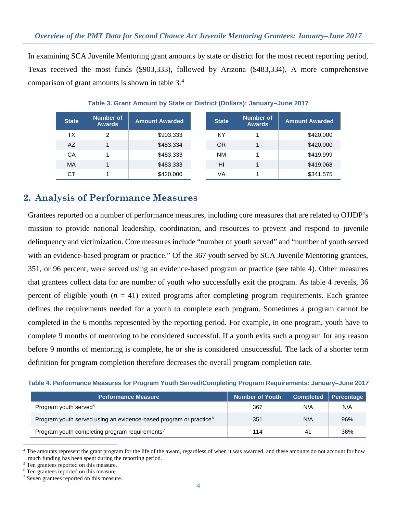In examining SCA Juvenile Mentoring grant amounts by state or district for the most recent reporting period, Texas received the most funds (\$903,333), followed by Arizona (\$483,334). A more comprehensive comparison of grant amounts is shown in table  $3<sup>4</sup>$  $3<sup>4</sup>$  $3<sup>4</sup>$ 

| <b>State</b> | Number of<br><b>Awards</b> | <b>Amount Awarded</b> | <b>State</b> | Number of<br><b>Awards</b> | <b>Amount Awarded</b> |
|--------------|----------------------------|-----------------------|--------------|----------------------------|-----------------------|
| ТX           | 2                          | \$903,333             | ΚY           |                            | \$420,000             |
| AZ           |                            | \$483,334             | <b>OR</b>    |                            | \$420,000             |
| CА           |                            | \$483,333             | <b>NM</b>    |                            | \$419,999             |
| MA           |                            | \$483,333             | HI           |                            | \$419,068             |
| CТ           |                            | \$420,000             | VA           |                            | \$341,575             |

| Table 3. Grant Amount by State or District (Dollars): January-June 2017 |  |  |
|-------------------------------------------------------------------------|--|--|
|                                                                         |  |  |

## **2. Analysis of Performance Measures**

Grantees reported on a number of performance measures, including core measures that are related to OJJDP's mission to provide national leadership, coordination, and resources to prevent and respond to juvenile delinquency and victimization. Core measures include "number of youth served" and "number of youth served with an evidence-based program or practice." Of the 367 youth served by SCA Juvenile Mentoring grantees, 351, or 96 percent, were served using an evidence-based program or practice (see table 4). Other measures that grantees collect data for are number of youth who successfully exit the program. As table 4 reveals, 36 percent of eligible youth  $(n = 41)$  exited programs after completing program requirements. Each grantee defines the requirements needed for a youth to complete each program. Sometimes a program cannot be completed in the 6 months represented by the reporting period. For example, in one program, youth have to complete 9 months of mentoring to be considered successful. If a youth exits such a program for any reason before 9 months of mentoring is complete, he or she is considered unsuccessful. The lack of a shorter term definition for program completion therefore decreases the overall program completion rate.

| Table 4. Performance Measures for Program Youth Served/Completing Program Requirements: January-June 2017 |  |  |
|-----------------------------------------------------------------------------------------------------------|--|--|
|-----------------------------------------------------------------------------------------------------------|--|--|

| <b>Performance Measure</b>                                                    | <b>Number of Youth</b> | <b>Completed</b> | Percentage |
|-------------------------------------------------------------------------------|------------------------|------------------|------------|
| Program youth served <sup>5</sup>                                             | 367                    | N/A              | N/A        |
| Program youth served using an evidence-based program or practice <sup>6</sup> | 351                    | N/A              | 96%        |
| Program youth completing program requirements <sup>7</sup>                    | 114                    | 41               | 36%        |

<span id="page-3-0"></span> $\ddot{ }$ <sup>4</sup> The amounts represent the grant program for the life of the award, regardless of when it was awarded, and these amounts do not account for how much funding has been spent during the reporting period.

<span id="page-3-1"></span><sup>5</sup> Ten grantees reported on this measure.

<span id="page-3-2"></span><sup>6</sup> Ten grantees reported on this measure.

<span id="page-3-3"></span><sup>7</sup> Seven grantees reported on this measure.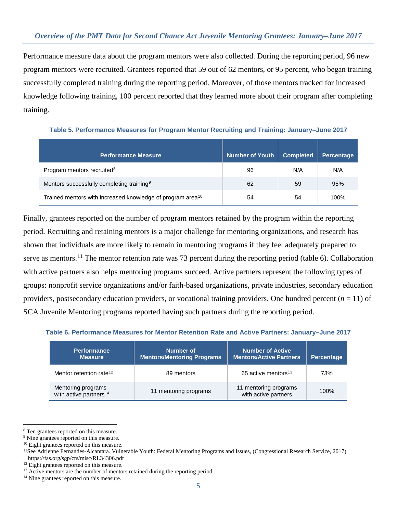Performance measure data about the program mentors were also collected. During the reporting period, 96 new program mentors were recruited. Grantees reported that 59 out of 62 mentors, or 95 percent, who began training successfully completed training during the reporting period. Moreover, of those mentors tracked for increased knowledge following training, 100 percent reported that they learned more about their program after completing training.

| <b>Performance Measure</b>                                             | <b>Number of Youth</b> | <b>Completed</b> | <b>Percentage</b> |
|------------------------------------------------------------------------|------------------------|------------------|-------------------|
| Program mentors recruited <sup>8</sup>                                 | 96                     | N/A              | N/A               |
| Mentors successfully completing training <sup>9</sup>                  | 62                     | 59               | 95%               |
| Trained mentors with increased knowledge of program area <sup>10</sup> | 54                     | 54               | 100%              |

**Table 5. Performance Measures for Program Mentor Recruiting and Training: January–June 2017**

Finally, grantees reported on the number of program mentors retained by the program within the reporting period. Recruiting and retaining mentors is a major challenge for mentoring organizations, and research has shown that individuals are more likely to remain in mentoring programs if they feel adequately prepared to serve as mentors.<sup>[11](#page-4-3)</sup> The mentor retention rate was 73 percent during the reporting period (table 6). Collaboration with active partners also helps mentoring programs succeed. Active partners represent the following types of groups: nonprofit service organizations and/or faith-based organizations, private industries, secondary education providers, postsecondary education providers, or vocational training providers. One hundred percent  $(n = 11)$  of SCA Juvenile Mentoring programs reported having such partners during the reporting period.

| Table 6. Performance Measures for Mentor Retention Rate and Active Partners: January–June 2017 |  |
|------------------------------------------------------------------------------------------------|--|
|------------------------------------------------------------------------------------------------|--|

| <b>Performance</b><br><b>Measure</b>                     | <b>Number of</b><br><b>Mentors/Mentoring Programs</b> | Number of Active<br><b>Mentors/Active Partners</b> | <b>Percentage</b> |
|----------------------------------------------------------|-------------------------------------------------------|----------------------------------------------------|-------------------|
| Mentor retention rate <sup>12</sup>                      | 89 mentors                                            | 65 active mentors <sup>13</sup>                    | 73%               |
| Mentoring programs<br>with active partners <sup>14</sup> | 11 mentoring programs                                 | 11 mentoring programs<br>with active partners      | 100%              |

<span id="page-4-0"></span> $\ddot{ }$ 8 Ten grantees reported on this measure. 9 Nine grantees reported on this measure.

<span id="page-4-1"></span>

<span id="page-4-3"></span><span id="page-4-2"></span><sup>&</sup>lt;sup>10</sup> Eight grantees reported on this measure.<br><sup>11</sup>See Adrienne Fernandes-Alcantara. Vulnerable Youth: Federal Mentoring Programs and Issues, (Congressional Research Service, 2017) <https://fas.org/sgp/crs/misc/RL34306.pdf>

<span id="page-4-4"></span><sup>&</sup>lt;sup>12</sup> Eight grantees reported on this measure.

<span id="page-4-6"></span><span id="page-4-5"></span><sup>&</sup>lt;sup>13</sup> Active mentors are the number of mentors retained during the reporting period.  $14$  Nine grantees reported on this measure.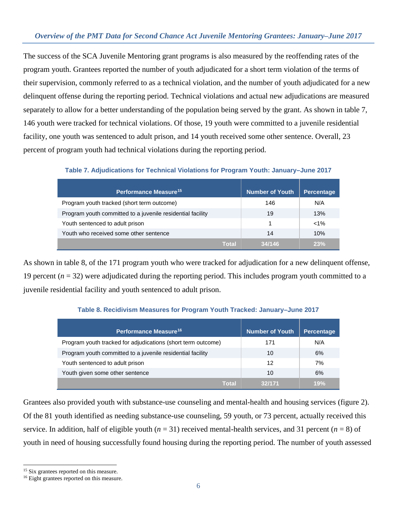The success of the SCA Juvenile Mentoring grant programs is also measured by the reoffending rates of the program youth. Grantees reported the number of youth adjudicated for a short term violation of the terms of their supervision, commonly referred to as a technical violation, and the number of youth adjudicated for a new delinquent offense during the reporting period. Technical violations and actual new adjudications are measured separately to allow for a better understanding of the population being served by the grant. As shown in table 7, 146 youth were tracked for technical violations. Of those, 19 youth were committed to a juvenile residential facility, one youth was sentenced to adult prison, and 14 youth received some other sentence. Overall, 23 percent of program youth had technical violations during the reporting period.

### **Table 7. Adjudications for Technical Violations for Program Youth: January–June 2017**

| Performance Measure <sup>15</sup>                          | <b>Number of Youth</b> | <b>Percentage</b> |
|------------------------------------------------------------|------------------------|-------------------|
| Program youth tracked (short term outcome)                 | 146                    | N/A               |
| Program youth committed to a juvenile residential facility | 19                     | 13%               |
| Youth sentenced to adult prison                            |                        | $< 1\%$           |
| Youth who received some other sentence                     | 14                     | 10%               |
| Total                                                      | 34/146                 | 23%               |

As shown in table 8, of the 171 program youth who were tracked for adjudication for a new delinquent offense, 19 percent (*n* = 32) were adjudicated during the reporting period. This includes program youth committed to a juvenile residential facility and youth sentenced to adult prison.

### **Table 8. Recidivism Measures for Program Youth Tracked: January–June 2017**

| Performance Measure <sup>16</sup>                            | Number of Youth | <b>Percentage</b> |
|--------------------------------------------------------------|-----------------|-------------------|
| Program youth tracked for adjudications (short term outcome) | 171             | N/A               |
| Program youth committed to a juvenile residential facility   | 10              | 6%                |
| Youth sentenced to adult prison                              | 12              | 7%                |
| Youth given some other sentence                              | 10              | 6%                |
| Total                                                        | 32/171          | 19%               |

Grantees also provided youth with substance-use counseling and mental-health and housing services (figure 2). Of the 81 youth identified as needing substance-use counseling, 59 youth, or 73 percent, actually received this service. In addition, half of eligible youth  $(n = 31)$  received mental-health services, and 31 percent  $(n = 8)$  of youth in need of housing successfully found housing during the reporting period. The number of youth assessed

 $\ddot{ }$ 

<span id="page-5-0"></span><sup>&</sup>lt;sup>15</sup> Six grantees reported on this measure.

<span id="page-5-1"></span><sup>&</sup>lt;sup>16</sup> Eight grantees reported on this measure.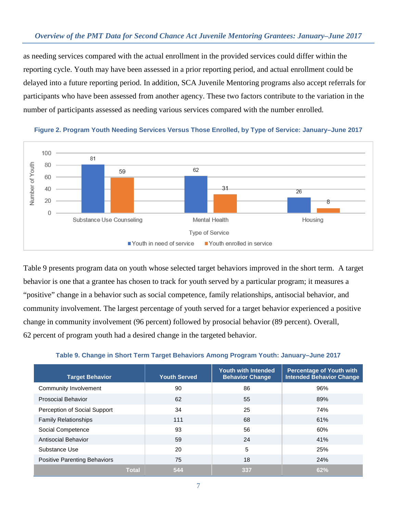as needing services compared with the actual enrollment in the provided services could differ within the reporting cycle. Youth may have been assessed in a prior reporting period, and actual enrollment could be delayed into a future reporting period. In addition, SCA Juvenile Mentoring programs also accept referrals for participants who have been assessed from another agency. These two factors contribute to the variation in the number of participants assessed as needing various services compared with the number enrolled.



**Figure 2. Program Youth Needing Services Versus Those Enrolled, by Type of Service: January–June 2017**

Table 9 presents program data on youth whose selected target behaviors improved in the short term. A target behavior is one that a grantee has chosen to track for youth served by a particular program; it measures a "positive" change in a behavior such as social competence, family relationships, antisocial behavior, and community involvement. The largest percentage of youth served for a target behavior experienced a positive change in community involvement (96 percent) followed by prosocial behavior (89 percent). Overall, 62 percent of program youth had a desired change in the targeted behavior.

|  | Table 9. Change in Short Term Target Behaviors Among Program Youth: January-June 2017 |  |  |
|--|---------------------------------------------------------------------------------------|--|--|
|  |                                                                                       |  |  |

| <b>Target Behavior</b>              | <b>Youth Served</b> | <b>Youth with Intended</b><br><b>Behavior Change</b> | <b>Percentage of Youth with</b><br><b>Intended Behavior Change</b> |
|-------------------------------------|---------------------|------------------------------------------------------|--------------------------------------------------------------------|
| Community Involvement               | 90                  | 86                                                   | 96%                                                                |
| <b>Prosocial Behavior</b>           | 62                  | 55                                                   | 89%                                                                |
| Perception of Social Support        | 34                  | 25                                                   | 74%                                                                |
| <b>Family Relationships</b>         | 111                 | 68                                                   | 61%                                                                |
| Social Competence                   | 93                  | 56                                                   | 60%                                                                |
| <b>Antisocial Behavior</b>          | 59                  | 24                                                   | 41%                                                                |
| Substance Use                       | 20                  | 5                                                    | 25%                                                                |
| <b>Positive Parenting Behaviors</b> | 75                  | 18                                                   | 24%                                                                |
| <b>Total</b>                        | 544                 | 337                                                  | 62%                                                                |